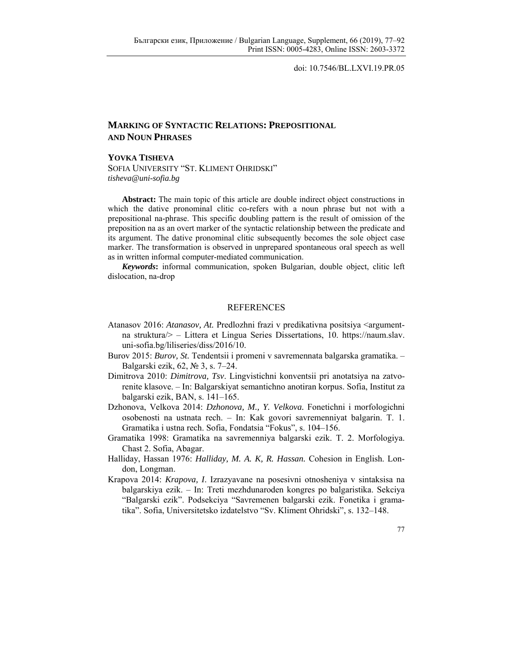doi: 10.7546/BL.LXVI.19.PR.05

## **MARKING OF SYNTACTIC RELATIONS: PREPOSITIONAL AND NOUN PHRASES**

## **YOVKA TISHEVA**

SOFIA UNIVERSITY "ST. KLIMENT OHRIDSKI" *tisheva@uni-sofia.bg* 

**Abstract:** The main topic of this article are double indirect object constructions in which the dative pronominal clitic co-refers with a noun phrase but not with a prepositional na-phrase. This specific doubling pattern is the result of omission of the preposition na as an overt marker of the syntactic relationship between the predicate and its argument. The dative pronominal clitic subsequently becomes the sole object case marker. The transformation is observed in unprepared spontaneous oral speech as well as in written informal computer-mediated communication.

*Keywords***:** informal communication, spoken Bulgarian, double object, clitic left dislocation, na-drop

## REFERENCES

- Atanasov 2016: *Atanasov, At.* Predlozhni frazi v predikativna positsiya <argumentna struktura/> – Littera et Lingua Series Dissertations, 10. https://naum.slav. uni-sofia.bg/liliseries/diss/2016/10.
- Burov 2015: *Burov, St.* Tendentsii i promeni v savremennata balgarska gramatika. Balgarski ezik, 62, № 3, s. 7–24.
- Dimitrova 2010: *Dimitrova, Tsv*. Lingvistichni konventsii pri anotatsiya na zatvorenite klasove. – In: Balgarskiyat semantichno anotiran korpus. Sofia, Institut za balgarski ezik, BAN, s. 141–165.
- Dzhonova, Velkova 2014: *Dzhonova, M., Y. Velkova.* Fonetichni i morfologichni osobenosti na ustnata rech. – In: Kak govori savremenniyat balgarin. T. 1. Gramatika i ustna rech. Sofia, Fondatsia "Fokus", s. 104–156.
- Gramatika 1998: Gramatika na savremenniya balgarski ezik. T. 2. Morfologiya. Chast 2. Sofia, Abagar.
- Halliday, Hassan 1976: *Halliday, M. A. K, R. Hassan.* Cohesion in English. London, Longman.
- Krapova 2014: *Krapova, I*. Izrazyavane na posesivni otnosheniya v sintaksisa na balgarskiya ezik. – In: Treti mezhdunaroden kongres po balgaristika. Sekciya "Balgarski ezik". Podsekciya "Savremenen balgarski ezik. Fonetika i gramatika". Sofia, Universitetsko izdatelstvo "Sv. Kliment Ohridski", s. 132–148.

77